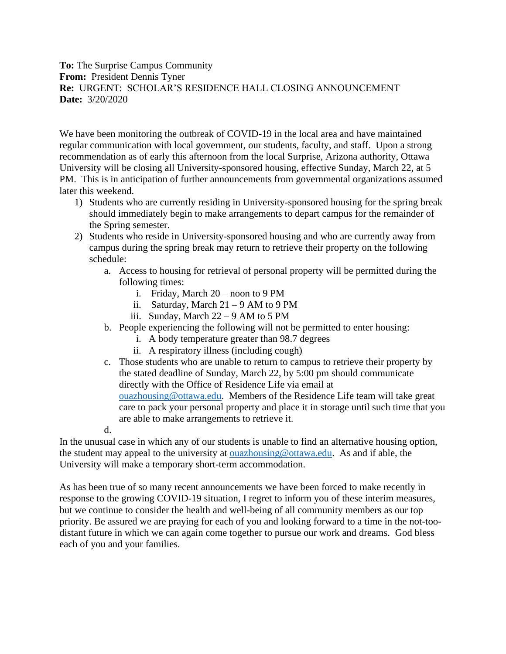**To:** The Surprise Campus Community **From:** President Dennis Tyner **Re:** URGENT: SCHOLAR'S RESIDENCE HALL CLOSING ANNOUNCEMENT **Date:** 3/20/2020

We have been monitoring the outbreak of COVID-19 in the local area and have maintained regular communication with local government, our students, faculty, and staff. Upon a strong recommendation as of early this afternoon from the local Surprise, Arizona authority, Ottawa University will be closing all University-sponsored housing, effective Sunday, March 22, at 5 PM. This is in anticipation of further announcements from governmental organizations assumed later this weekend.

- 1) Students who are currently residing in University-sponsored housing for the spring break should immediately begin to make arrangements to depart campus for the remainder of the Spring semester.
- 2) Students who reside in University-sponsored housing and who are currently away from campus during the spring break may return to retrieve their property on the following schedule:
	- a. Access to housing for retrieval of personal property will be permitted during the following times:
		- i. Friday, March 20 noon to 9 PM
		- ii. Saturday, March  $21 9$  AM to 9 PM
		- iii. Sunday, March  $22 9$  AM to 5 PM
	- b. People experiencing the following will not be permitted to enter housing:
		- i. A body temperature greater than 98.7 degrees
		- ii. A respiratory illness (including cough)
	- c. Those students who are unable to return to campus to retrieve their property by the stated deadline of Sunday, March 22, by 5:00 pm should communicate directly with the Office of Residence Life via email at [ouazhousing@ottawa.edu.](mailto:ouazhousing@ottawa.edu) Members of the Residence Life team will take great care to pack your personal property and place it in storage until such time that you are able to make arrangements to retrieve it.
	- d.

In the unusual case in which any of our students is unable to find an alternative housing option, the student may appeal to the university at [ouazhousing@ottawa.edu.](mailto:ouazhousing@ottawa.edu) As and if able, the University will make a temporary short-term accommodation.

As has been true of so many recent announcements we have been forced to make recently in response to the growing COVID-19 situation, I regret to inform you of these interim measures, but we continue to consider the health and well-being of all community members as our top priority. Be assured we are praying for each of you and looking forward to a time in the not-toodistant future in which we can again come together to pursue our work and dreams. God bless each of you and your families.